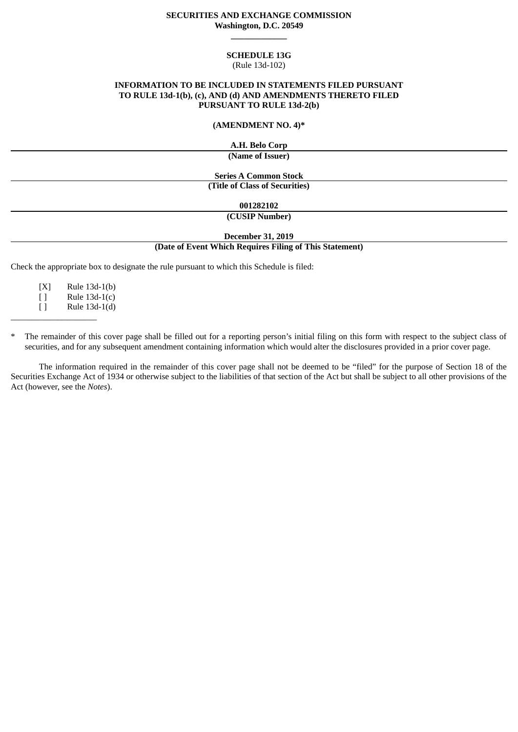# **SECURITIES AND EXCHANGE COMMISSION Washington, D.C. 20549 \_\_\_\_\_\_\_\_\_\_\_\_\_**

### **SCHEDULE 13G**

#### (Rule 13d-102)

# **INFORMATION TO BE INCLUDED IN STATEMENTS FILED PURSUANT TO RULE 13d-1(b), (c), AND (d) AND AMENDMENTS THERETO FILED PURSUANT TO RULE 13d-2(b)**

### **(AMENDMENT NO. 4)\***

**A.H. Belo Corp**

**(Name of Issuer)**

**Series A Common Stock (Title of Class of Securities)**

**001282102**

**(CUSIP Number)**

**December 31, 2019**

### **(Date of Event Which Requires Filing of This Statement)**

Check the appropriate box to designate the rule pursuant to which this Schedule is filed:

[X] Rule 13d-1(b) [ ] Rule 13d-1(c) [ ] Rule 13d-1(d)

 $\overline{\phantom{a}}$  , where  $\overline{\phantom{a}}$  , where  $\overline{\phantom{a}}$  , where  $\overline{\phantom{a}}$  , we have  $\overline{\phantom{a}}$ 

\* The remainder of this cover page shall be filled out for a reporting person's initial filing on this form with respect to the subject class of securities, and for any subsequent amendment containing information which would alter the disclosures provided in a prior cover page.

The information required in the remainder of this cover page shall not be deemed to be "filed" for the purpose of Section 18 of the Securities Exchange Act of 1934 or otherwise subject to the liabilities of that section of the Act but shall be subject to all other provisions of the Act (however, see the *Notes*).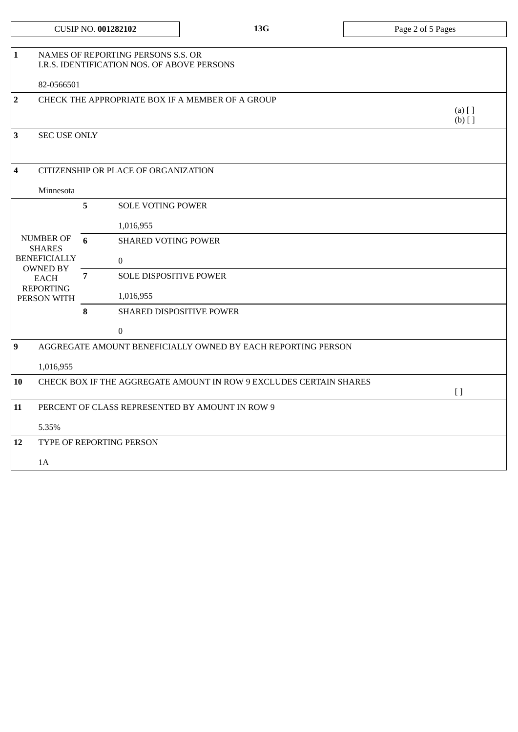|                |                                                                                                                               |                | <b>CUSIP NO. 001282102</b>                                                        | 13G | Page 2 of 5 Pages     |  |  |
|----------------|-------------------------------------------------------------------------------------------------------------------------------|----------------|-----------------------------------------------------------------------------------|-----|-----------------------|--|--|
| 1              |                                                                                                                               |                | NAMES OF REPORTING PERSONS S.S. OR<br>I.R.S. IDENTIFICATION NOS. OF ABOVE PERSONS |     |                       |  |  |
|                | 82-0566501                                                                                                                    |                |                                                                                   |     |                       |  |  |
| $\overline{2}$ |                                                                                                                               |                | CHECK THE APPROPRIATE BOX IF A MEMBER OF A GROUP                                  |     | $(a)$ [ ]<br>$(b)$ [] |  |  |
| 3              | <b>SEC USE ONLY</b>                                                                                                           |                |                                                                                   |     |                       |  |  |
| 4              | CITIZENSHIP OR PLACE OF ORGANIZATION                                                                                          |                |                                                                                   |     |                       |  |  |
|                | Minnesota                                                                                                                     |                |                                                                                   |     |                       |  |  |
|                |                                                                                                                               | 5              | <b>SOLE VOTING POWER</b>                                                          |     |                       |  |  |
|                | <b>NUMBER OF</b><br><b>SHARES</b><br><b>BENEFICIALLY</b><br><b>OWNED BY</b><br><b>EACH</b><br><b>REPORTING</b><br>PERSON WITH |                | 1,016,955                                                                         |     |                       |  |  |
|                |                                                                                                                               | 6              | <b>SHARED VOTING POWER</b>                                                        |     |                       |  |  |
|                |                                                                                                                               |                | $\boldsymbol{0}$                                                                  |     |                       |  |  |
|                |                                                                                                                               | $\overline{7}$ | <b>SOLE DISPOSITIVE POWER</b>                                                     |     |                       |  |  |
|                |                                                                                                                               |                | 1,016,955                                                                         |     |                       |  |  |
|                |                                                                                                                               | 8              | SHARED DISPOSITIVE POWER                                                          |     |                       |  |  |
|                |                                                                                                                               |                | $\Omega$                                                                          |     |                       |  |  |
| 9              | AGGREGATE AMOUNT BENEFICIALLY OWNED BY EACH REPORTING PERSON                                                                  |                |                                                                                   |     |                       |  |  |
|                | 1,016,955                                                                                                                     |                |                                                                                   |     |                       |  |  |
| 10             | CHECK BOX IF THE AGGREGATE AMOUNT IN ROW 9 EXCLUDES CERTAIN SHARES<br>$\left[ \ \right]$                                      |                |                                                                                   |     |                       |  |  |
| 11             | PERCENT OF CLASS REPRESENTED BY AMOUNT IN ROW 9                                                                               |                |                                                                                   |     |                       |  |  |
|                | 5.35%                                                                                                                         |                |                                                                                   |     |                       |  |  |
| 12             | TYPE OF REPORTING PERSON                                                                                                      |                |                                                                                   |     |                       |  |  |
|                | 1A                                                                                                                            |                |                                                                                   |     |                       |  |  |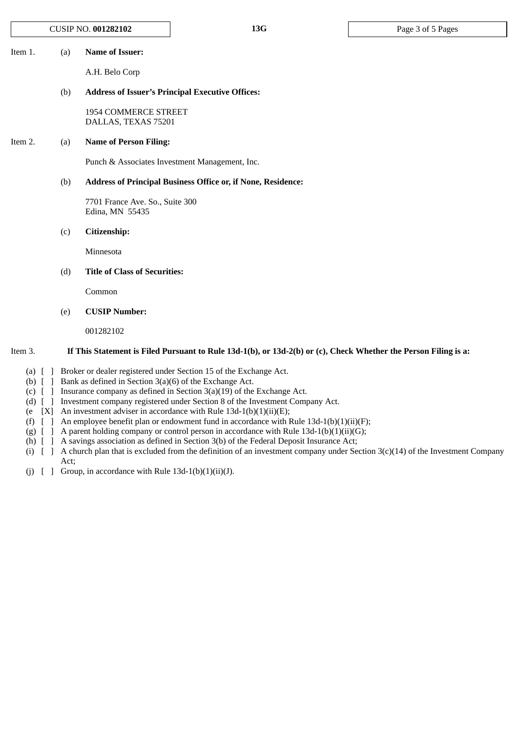Item 1. (a) **Name of Issuer:**

A.H. Belo Corp

#### (b) **Address of Issuer's Principal Executive Offices:**

1954 COMMERCE STREET DALLAS, TEXAS 75201

# Item 2. (a) **Name of Person Filing:**

Punch & Associates Investment Management, Inc.

# (b) **Address of Principal Business Office or, if None, Residence:**

7701 France Ave. So., Suite 300 Edina, MN 55435

(c) **Citizenship:**

Minnesota

### (d) **Title of Class of Securities:**

Common

(e) **CUSIP Number:**

001282102

#### Item 3. If This Statement is Filed Pursuant to Rule 13d-1(b), or 13d-2(b) or (c), Check Whether the Person Filing is a:

- (a) [ ] Broker or dealer registered under Section 15 of the Exchange Act.
- (b) [ ] Bank as defined in Section 3(a)(6) of the Exchange Act.
- (c) [ ] Insurance company as defined in Section 3(a)(19) of the Exchange Act.
- (d) [ ] Investment company registered under Section 8 of the Investment Company Act.
- (e  $[X]$  An investment adviser in accordance with Rule 13d-1(b)(1)(ii)(E);
- (f)  $\left[ \right]$  An employee benefit plan or endowment fund in accordance with Rule 13d-1(b)(1)(ii)(F);
- (g)  $\left[ \right]$  A parent holding company or control person in accordance with Rule 13d-1(b)(1)(ii)(G);
- (h) [ ] A savings association as defined in Section 3(b) of the Federal Deposit Insurance Act;
- (i) [ ] A church plan that is excluded from the definition of an investment company under Section 3(c)(14) of the Investment Company Act;
- (j)  $\left[\right]$  Group, in accordance with Rule 13d-1(b)(1)(ii)(J).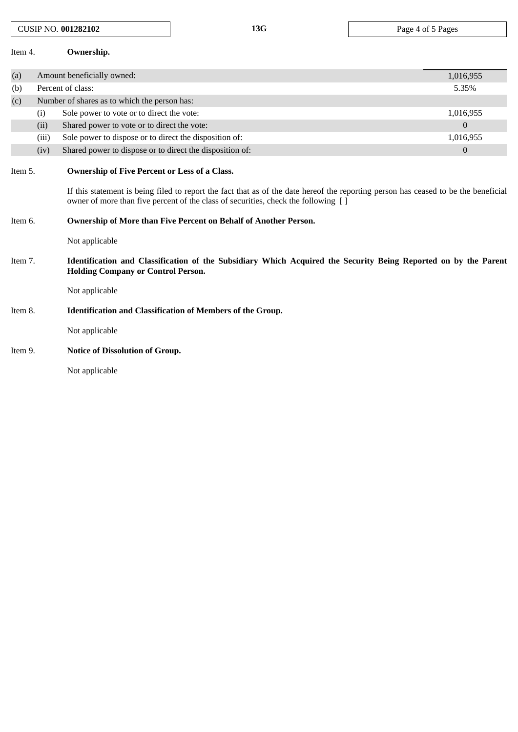| Item 4. |                            | Ownership.                                                                                                                                                                                                                                                                 |                  |  |  |  |  |
|---------|----------------------------|----------------------------------------------------------------------------------------------------------------------------------------------------------------------------------------------------------------------------------------------------------------------------|------------------|--|--|--|--|
| (a)     | Amount beneficially owned: |                                                                                                                                                                                                                                                                            |                  |  |  |  |  |
| (b)     |                            | Percent of class:                                                                                                                                                                                                                                                          | 5.35%            |  |  |  |  |
| (c)     |                            | Number of shares as to which the person has:                                                                                                                                                                                                                               |                  |  |  |  |  |
|         | (i)                        | Sole power to vote or to direct the vote:                                                                                                                                                                                                                                  | 1,016,955        |  |  |  |  |
|         | (ii)                       | Shared power to vote or to direct the vote:                                                                                                                                                                                                                                | $\overline{0}$   |  |  |  |  |
|         | (iii)                      | Sole power to dispose or to direct the disposition of:                                                                                                                                                                                                                     | 1,016,955        |  |  |  |  |
|         | (iv)                       | Shared power to dispose or to direct the disposition of:                                                                                                                                                                                                                   | $\boldsymbol{0}$ |  |  |  |  |
| Item 5. |                            | Ownership of Five Percent or Less of a Class.<br>If this statement is being filed to report the fact that as of the date hereof the reporting person has ceased to be the beneficial<br>owner of more than five percent of the class of securities, check the following [] |                  |  |  |  |  |
| Item 6. |                            | Ownership of More than Five Percent on Behalf of Another Person.                                                                                                                                                                                                           |                  |  |  |  |  |
|         |                            | Not applicable                                                                                                                                                                                                                                                             |                  |  |  |  |  |
| Item 7. |                            | Identification and Classification of the Subsidiary Which Acquired the Security Being Reported on by the Parent<br><b>Holding Company or Control Person.</b>                                                                                                               |                  |  |  |  |  |
|         |                            | Not applicable                                                                                                                                                                                                                                                             |                  |  |  |  |  |
| Item 8. |                            | <b>Identification and Classification of Members of the Group.</b>                                                                                                                                                                                                          |                  |  |  |  |  |
|         |                            | Not applicable                                                                                                                                                                                                                                                             |                  |  |  |  |  |
| Item 9. |                            | <b>Notice of Dissolution of Group.</b>                                                                                                                                                                                                                                     |                  |  |  |  |  |
|         |                            | Not applicable                                                                                                                                                                                                                                                             |                  |  |  |  |  |

CUSIP NO. **001282102 13G** Page 4 of 5 Pages